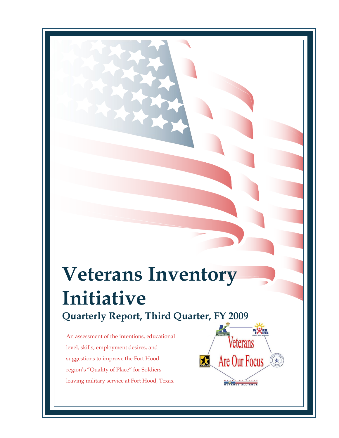# **Veterans Inventory Initiative Quarterly Report, Third Quarter, FY 2009**

An assessment of the intentions, educational level, skills, employment desires, and suggestions to improve the Fort Hood region's "Quality of Place" for Soldiers leaving military service at Fort Hood, Texas.

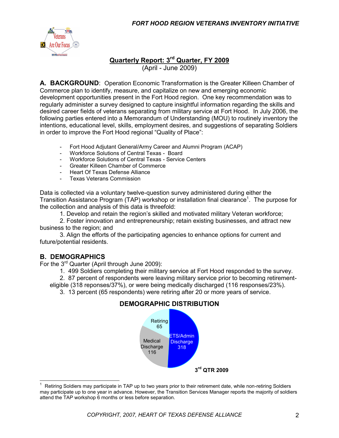

# **Quarterly Report: 3 rd Quarter, FY 2009**

(April - June 2009)

**A. BACKGROUND**: Operation Economic Transformation is the Greater Killeen Chamber of Commerce plan to identify, measure, and capitalize on new and emerging economic development opportunities present in the Fort Hood region. One key recommendation was to regularly administer a survey designed to capture insightful information regarding the skills and desired career fields of veterans separating from military service at Fort Hood. In July 2006, the following parties entered into a Memorandum of Understanding (MOU) to routinely inventory the intentions, educational level, skills, employment desires, and suggestions of separating Soldiers in order to improve the Fort Hood regional "Quality of Place":

- Fort Hood Adjutant General/Army Career and Alumni Program (ACAP)
- Workforce Solutions of Central Texas Board
- Workforce Solutions of Central Texas Service Centers
- Greater Killeen Chamber of Commerce
- Heart Of Texas Defense Alliance
- Texas Veterans Commission

Data is collected via a voluntary twelve-question survey administered during either the Transition Assistance Program (TAP) workshop or installation final clearance<sup>1</sup>. The purpose for the collection and analysis of this data is threefold:

1. Develop and retain the region's skilled and motivated military Veteran workforce;

2. Foster innovation and entrepreneurship; retain existing businesses, and attract new business to the region; and

3. Align the efforts of the participating agencies to enhance options for current and future/potential residents.

#### **B. DEMOGRAPHICS**

For the 3<sup>rd</sup> Quarter (April through June 2009):

1. 499 Soldiers completing their military service at Fort Hood responded to the survey.

2. 87 percent of respondents were leaving military service prior to becoming retirementeligible (318 reponses/37%), or were being medically discharged (116 responses/23%).

3. 13 percent (65 respondents) were retiring after 20 or more years of service.





 $\overline{\phantom{a}}$ 1 Retiring Soldiers may participate in TAP up to two years prior to their retirement date, while non-retiring Soldiers may participate up to one year in advance. However, the Transition Services Manager reports the majority of soldiers attend the TAP workshop 6 months or less before separation.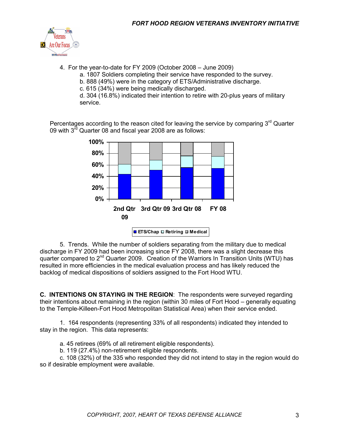

4. For the year-to-date for FY 2009 (October 2008 – June 2009)

a. 1807 Soldiers completing their service have responded to the survey.

- b. 888 (49%) were in the category of ETS/Administrative discharge.
- c. 615 (34%) were being medically discharged.

d. 304 (16.8%) indicated their intention to retire with 20-plus years of military service.

Percentages according to the reason cited for leaving the service by comparing  $3<sup>rd</sup>$  Quarter 09 with 3<sup>rd</sup> Quarter 08 and fiscal year 2008 are as follows:



5. Trends. While the number of soldiers separating from the military due to medical discharge in FY 2009 had been increasing since FY 2008, there was a slight decrease this quarter compared to 2nd Quarter 2009. Creation of the Warriors In Transition Units (WTU) has resulted in more efficiencies in the medical evaluation process and has likely reduced the backlog of medical dispositions of soldiers assigned to the Fort Hood WTU.

**C. INTENTIONS ON STAYING IN THE REGION**: The respondents were surveyed regarding their intentions about remaining in the region (within 30 miles of Fort Hood – generally equating to the Temple-Killeen-Fort Hood Metropolitan Statistical Area) when their service ended.

1. 164 respondents (representing 33% of all respondents) indicated they intended to stay in the region. This data represents:

a. 45 retirees (69% of all retirement eligible respondents).

b. 119 (27.4%) non-retirement eligible respondents.

c. 108 (32%) of the 335 who responded they did not intend to stay in the region would do so if desirable employment were available.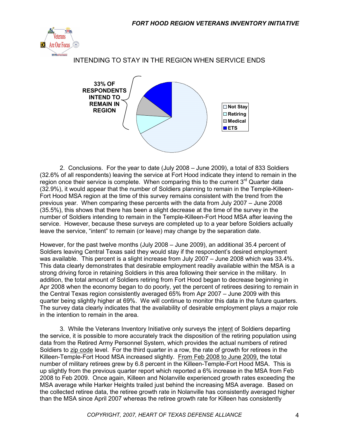

#### INTENDING TO STAY IN THE REGION WHEN SERVICE ENDS



2. Conclusions. For the year to date (July 2008 – June 2009), a total of 833 Soldiers (32.6% of all respondents) leaving the service at Fort Hood indicate they intend to remain in the region once their service is complete. When comparing this to the current  $3<sup>rd</sup>$  Quarter data (32.9%), it would appear that the number of Soldiers planning to remain in the Temple-Killeen-Fort Hood MSA region at the time of this survey remains consistent with the trend from the previous year. When comparing these percents with the data from July 2007 – June 2008 (35.5%), this shows that there has been a slight decrease at the time of the survey in the number of Soldiers intending to remain in the Temple-Killeen-Fort Hood MSA after leaving the service. However, because these surveys are completed up to a year before Soldiers actually leave the service, "intent" to remain (or leave) may change by the separation date.

However, for the past twelve months (July 2008 – June 2009), an additional 35.4 percent of Soldiers leaving Central Texas said they would stay if the respondent's desired employment was available. This percent is a slight increase from July 2007 – June 2008 which was 33.4%. This data clearly demonstrates that desirable employment readily available within the MSA is a strong driving force in retaining Soldiers in this area following their service in the military. In addition, the total amount of Soldiers retiring from Fort Hood began to decrease beginning in Apr 2008 when the economy began to do poorly, yet the percent of retirees desiring to remain in the Central Texas region consistently averaged 65% from Apr 2007 – June 2009 with this quarter being slightly higher at 69%. We will continue to monitor this data in the future quarters. The survey data clearly indicates that the availability of desirable employment plays a major role in the intention to remain in the area.

3. While the Veterans Inventory Initiative only surveys the intent of Soldiers departing the service, it is possible to more accurately track the disposition of the retiring population using data from the Retired Army Personnel System, which provides the actual numbers of retired Soldiers to zip code level. For the third quarter in a row, the rate of growth for retirees in the Killeen-Temple-Fort Hood MSA increased slightly. From Feb 2008 to June 2009, the total number of military retirees grew by 6.8 percent in the Killeen-Temple-Fort Hood MSA. This is up slightly from the previous quarter report which reported a 6% increase in the MSA from Feb 2008 to Feb 2009. Once again, Killeen and Nolanville experienced growth rates exceeding the MSA average while Harker Heights trailed just behind the increasing MSA average. Based on the collected retiree data, the retiree growth rate in Nolanville has consistently averaged higher than the MSA since April 2007 whereas the retiree growth rate for Killeen has consistently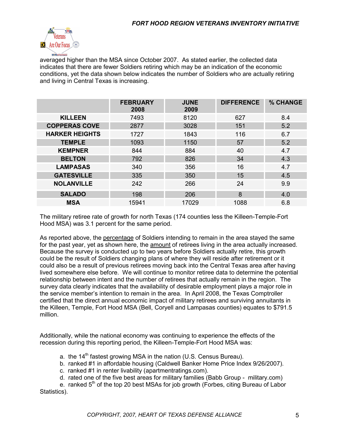

averaged higher than the MSA since October 2007. As stated earlier, the collected data indicates that there are fewer Soldiers retiring which may be an indication of the economic conditions, yet the data shown below indicates the number of Soldiers who are actually retiring and living in Central Texas is increasing.

|                       | <b>FEBRUARY</b><br>2008 | <b>JUNE</b><br>2009 | <b>DIFFERENCE</b> | % CHANGE |
|-----------------------|-------------------------|---------------------|-------------------|----------|
| <b>KILLEEN</b>        | 7493                    | 8120                | 627               | 8.4      |
| <b>COPPERAS COVE</b>  | 2877                    | 3028                | 151               | 5.2      |
| <b>HARKER HEIGHTS</b> | 1727                    | 1843                | 116               | 6.7      |
| <b>TEMPLE</b>         | 1093                    | 1150                | 57                | 5.2      |
| <b>KEMPNER</b>        | 844                     | 884                 | 40                | 4.7      |
| <b>BELTON</b>         | 792                     | 826                 | 34                | 4.3      |
| <b>LAMPASAS</b>       | 340                     | 356                 | 16                | 4.7      |
| <b>GATESVILLE</b>     | 335                     | 350                 | 15                | 4.5      |
| <b>NOLANVILLE</b>     | 242                     | 266                 | 24                | 9.9      |
| <b>SALADO</b>         | 198                     | 206                 | 8                 | 4.0      |
| <b>MSA</b>            | 15941                   | 17029               | 1088              | 6.8      |

The military retiree rate of growth for north Texas (174 counties less the Killeen-Temple-Fort Hood MSA) was 3.1 percent for the same period.

As reported above, the percentage of Soldiers intending to remain in the area stayed the same for the past year, yet as shown here, the amount of retirees living in the area actually increased. Because the survey is conducted up to two years before Soldiers actually retire, this growth could be the result of Soldiers changing plans of where they will reside after retirement or it could also be a result of previous retirees moving back into the Central Texas area after having lived somewhere else before. We will continue to monitor retiree data to determine the potential relationship between intent and the number of retirees that actually remain in the region. The survey data clearly indicates that the availability of desirable employment plays a major role in the service member's intention to remain in the area. In April 2008, the Texas Comptroller certified that the direct annual economic impact of military retirees and surviving annuitants in the Killeen, Temple, Fort Hood MSA (Bell, Coryell and Lampasas counties) equates to \$791.5 million.

Additionally, while the national economy was continuing to experience the effects of the recession during this reporting period, the Killeen-Temple-Fort Hood MSA was:

- a. the  $14<sup>th</sup>$  fastest growing MSA in the nation (U.S. Census Bureau).
- b. ranked #1 in affordable housing (Caldwell Banker Home Price Index 9/26/2007).
- c. ranked #1 in renter livability (apartmentratings.com).
- d. rated one of the five best areas for military families (Babb Group military.com)

e. ranked  $5<sup>th</sup>$  of the top 20 best MSAs for job growth (Forbes, citing Bureau of Labor Statistics).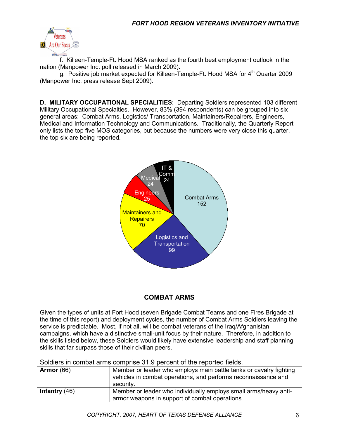

f. Killeen-Temple-Ft. Hood MSA ranked as the fourth best employment outlook in the nation (Manpower Inc. poll released in March 2009).

g. Positive job market expected for Killeen-Temple-Ft. Hood MSA for  $4<sup>th</sup>$  Quarter 2009 (Manpower Inc. press release Sept 2009).

**D. MILITARY OCCUPATIONAL SPECIALITIES**: Departing Soldiers represented 103 different Military Occupational Specialties. However, 83% (394 respondents) can be grouped into six general areas: Combat Arms, Logistics/ Transportation, Maintainers/Repairers, Engineers, Medical and Information Technology and Communications. Traditionally, the Quarterly Report only lists the top five MOS categories, but because the numbers were very close this quarter, the top six are being reported.



## **COMBAT ARMS**

Given the types of units at Fort Hood (seven Brigade Combat Teams and one Fires Brigade at the time of this report) and deployment cycles, the number of Combat Arms Soldiers leaving the service is predictable. Most, if not all, will be combat veterans of the Iraq/Afghanistan campaigns, which have a distinctive small-unit focus by their nature. Therefore, in addition to the skills listed below, these Soldiers would likely have extensive leadership and staff planning skills that far surpass those of their civilian peers.

|  | Soldiers in combat arms comprise 31.9 percent of the reported fields. |  |  |  |
|--|-----------------------------------------------------------------------|--|--|--|
|--|-----------------------------------------------------------------------|--|--|--|

| Armor $(66)$    | Member or leader who employs main battle tanks or cavalry fighting<br>vehicles in combat operations, and performs reconnaissance and<br>security. |
|-----------------|---------------------------------------------------------------------------------------------------------------------------------------------------|
| Infantry $(46)$ | Member or leader who individually employs small arms/heavy anti-<br>armor weapons in support of combat operations                                 |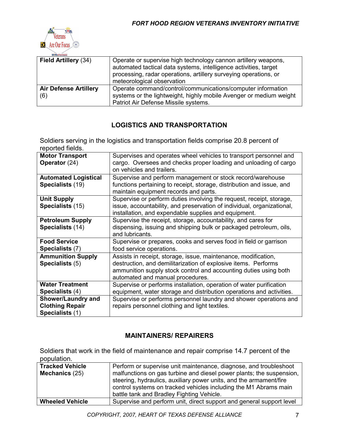

| Field Artillery (34)                | Operate or supervise high technology cannon artillery weapons,<br>automated tactical data systems, intelligence activities, target<br>processing, radar operations, artillery surveying operations, or<br>meteorological observation |
|-------------------------------------|--------------------------------------------------------------------------------------------------------------------------------------------------------------------------------------------------------------------------------------|
| <b>Air Defense Artillery</b><br>(6) | Operate command/control/communications/computer information<br>systems or the lightweight, highly mobile Avenger or medium weight<br>Patriot Air Defense Missile systems.                                                            |

## **LOGISTICS AND TRANSPORTATION**

Soldiers serving in the logistics and transportation fields comprise 20.8 percent of reported fields.

| <b>Motor Transport</b><br>Operator (24)                                | Supervises and operates wheel vehicles to transport personnel and<br>cargo. Oversees and checks proper loading and unloading of cargo<br>on vehicles and trailers.                                                                       |
|------------------------------------------------------------------------|------------------------------------------------------------------------------------------------------------------------------------------------------------------------------------------------------------------------------------------|
| <b>Automated Logistical</b><br>Specialists (19)                        | Supervise and perform management or stock record/warehouse<br>functions pertaining to receipt, storage, distribution and issue, and<br>maintain equipment records and parts.                                                             |
| <b>Unit Supply</b><br>Specialists (15)                                 | Supervise or perform duties involving the request, receipt, storage,<br>issue, accountability, and preservation of individual, organizational,<br>installation, and expendable supplies and equipment.                                   |
| <b>Petroleum Supply</b><br>Specialists (14)                            | Supervise the receipt, storage, accountability, and cares for<br>dispensing, issuing and shipping bulk or packaged petroleum, oils,<br>and lubricants.                                                                                   |
| <b>Food Service</b><br>Specialists (7)                                 | Supervise or prepares, cooks and serves food in field or garrison<br>food service operations.                                                                                                                                            |
| <b>Ammunition Supply</b><br>Specialists (5)                            | Assists in receipt, storage, issue, maintenance, modification,<br>destruction, and demilitarization of explosive items. Performs<br>ammunition supply stock control and accounting duties using both<br>automated and manual procedures. |
| <b>Water Treatment</b><br>Specialists (4)                              | Supervise or performs installation, operation of water purification<br>equipment, water storage and distribution operations and activities.                                                                                              |
| <b>Shower/Laundry and</b><br><b>Clothing Repair</b><br>Specialists (1) | Supervise or performs personnel laundry and shower operations and<br>repairs personnel clothing and light textiles.                                                                                                                      |

#### **MAINTAINERS/ REPAIRERS**

Soldiers that work in the field of maintenance and repair comprise 14.7 percent of the population.

| <b>Tracked Vehicle</b> | Perform or supervise unit maintenance, diagnose, and troubleshoot                                                                                                                                                                                           |
|------------------------|-------------------------------------------------------------------------------------------------------------------------------------------------------------------------------------------------------------------------------------------------------------|
| Mechanics (25)         | malfunctions on gas turbine and diesel power plants; the suspension,<br>steering, hydraulics, auxiliary power units, and the armament/fire<br>control systems on tracked vehicles including the M1 Abrams main<br>battle tank and Bradley Fighting Vehicle. |
| <b>Wheeled Vehicle</b> | Supervise and perform unit, direct support and general support level                                                                                                                                                                                        |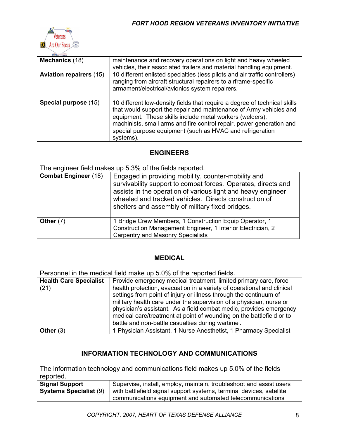

| <b>DEFENSE ALLIANS</b>         |                                                                                                                                                                                                                                                                                                                                                               |
|--------------------------------|---------------------------------------------------------------------------------------------------------------------------------------------------------------------------------------------------------------------------------------------------------------------------------------------------------------------------------------------------------------|
| Mechanics (18)                 | maintenance and recovery operations on light and heavy wheeled<br>vehicles, their associated trailers and material handling equipment.                                                                                                                                                                                                                        |
| <b>Aviation repairers (15)</b> | 10 different enlisted specialties (less pilots and air traffic controllers)<br>ranging from aircraft structural repairers to airframe-specific<br>armament/electrical/avionics system repairers.                                                                                                                                                              |
| Special purpose (15)           | 10 different low-density fields that require a degree of technical skills<br>that would support the repair and maintenance of Army vehicles and<br>equipment. These skills include metal workers (welders),<br>machinists, small arms and fire control repair, power generation and<br>special purpose equipment (such as HVAC and refrigeration<br>systems). |

#### **ENGINEERS**

The engineer field makes up 5.3% of the fields reported.

| <b>Combat Engineer (18)</b> | Engaged in providing mobility, counter-mobility and<br>survivability support to combat forces. Operates, directs and<br>assists in the operation of various light and heavy engineer<br>wheeled and tracked vehicles. Directs construction of<br>shelters and assembly of military fixed bridges. |
|-----------------------------|---------------------------------------------------------------------------------------------------------------------------------------------------------------------------------------------------------------------------------------------------------------------------------------------------|
| Other $(7)$                 | 1 Bridge Crew Members, 1 Construction Equip Operator, 1<br>Construction Management Engineer, 1 Interior Electrician, 2<br><b>Carpentry and Masonry Specialists</b>                                                                                                                                |

#### **MEDICAL**

Personnel in the medical field make up 5.0% of the reported fields.

| <b>Health Care Specialist</b> | Provide emergency medical treatment, limited primary care, force       |
|-------------------------------|------------------------------------------------------------------------|
| (21)                          | health protection, evacuation in a variety of operational and clinical |
|                               | settings from point of injury or illness through the continuum of      |
|                               | military health care under the supervision of a physician, nurse or    |
|                               | physician's assistant. As a field combat medic, provides emergency     |
|                               | medical care/treatment at point of wounding on the battlefield or to   |
|                               | battle and non-battle casualties during wartime.                       |
| Other $(3)$                   | 1 Physician Assistant, 1 Nurse Anesthetist, 1 Pharmacy Specialist      |

## **INFORMATION TECHNOLOGY AND COMMUNICATIONS**

The information technology and communications field makes up 5.0% of the fields reported.

| <b>Signal Support</b>         | Supervise, install, employ, maintain, troubleshoot and assist users  |
|-------------------------------|----------------------------------------------------------------------|
| <b>Systems Specialist (9)</b> | with battlefield signal support systems, terminal devices, satellite |
|                               | communications equipment and automated telecommunications            |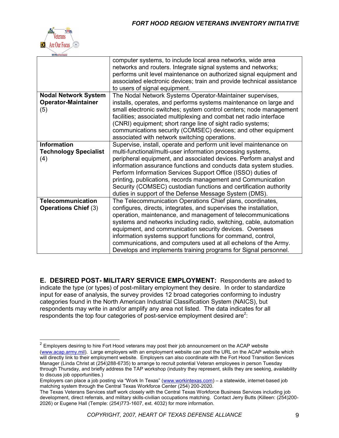

|                              | computer systems, to include local area networks, wide area<br>networks and routers. Integrate signal systems and networks;<br>performs unit level maintenance on authorized signal equipment and<br>associated electronic devices; train and provide technical assistance<br>to users of signal equipment. |
|------------------------------|-------------------------------------------------------------------------------------------------------------------------------------------------------------------------------------------------------------------------------------------------------------------------------------------------------------|
| <b>Nodal Network System</b>  | The Nodal Network Systems Operator-Maintainer supervises,                                                                                                                                                                                                                                                   |
| <b>Operator-Maintainer</b>   | installs, operates, and performs systems maintenance on large and                                                                                                                                                                                                                                           |
| (5)                          | small electronic switches; system control centers; node management                                                                                                                                                                                                                                          |
|                              | facilities; associated multiplexing and combat net radio interface                                                                                                                                                                                                                                          |
|                              | (CNRI) equipment; short range line of sight radio systems;                                                                                                                                                                                                                                                  |
|                              | communications security (COMSEC) devices; and other equipment                                                                                                                                                                                                                                               |
|                              | associated with network switching operations.                                                                                                                                                                                                                                                               |
| <b>Information</b>           | Supervise, install, operate and perform unit level maintenance on                                                                                                                                                                                                                                           |
| <b>Technology Specialist</b> | multi-functional/multi-user information processing systems,                                                                                                                                                                                                                                                 |
| (4)                          | peripheral equipment, and associated devices. Perform analyst and                                                                                                                                                                                                                                           |
|                              | information assurance functions and conducts data system studies.                                                                                                                                                                                                                                           |
|                              | Perform Information Services Support Office (ISSO) duties of                                                                                                                                                                                                                                                |
|                              | printing, publications, records management and Communication                                                                                                                                                                                                                                                |
|                              | Security (COMSEC) custodian functions and certification authority                                                                                                                                                                                                                                           |
|                              | duties in support of the Defense Message System (DMS).                                                                                                                                                                                                                                                      |
| <b>Telecommunication</b>     | The Telecommunication Operations Chief plans, coordinates,                                                                                                                                                                                                                                                  |
| <b>Operations Chief (3)</b>  | configures, directs, integrates, and supervises the installation,                                                                                                                                                                                                                                           |
|                              | operation, maintenance, and management of telecommunications                                                                                                                                                                                                                                                |
|                              | systems and networks including radio, switching, cable, automation                                                                                                                                                                                                                                          |
|                              | equipment, and communication security devices. Oversees                                                                                                                                                                                                                                                     |
|                              | information systems support functions for command, control,                                                                                                                                                                                                                                                 |
|                              | communications, and computers used at all echelons of the Army.                                                                                                                                                                                                                                             |
|                              | Develops and implements training programs for Signal personnel.                                                                                                                                                                                                                                             |

**E. DESIRED POST- MILITARY SERVICE EMPLOYMENT:** Respondents are asked to indicate the type (or types) of post-military employment they desire. In order to standardize input for ease of analysis, the survey provides 12 broad categories conforming to industry categories found in the North American Industrial Classification System (NAICS), but respondents may write in and/or amplify any area not listed. The data indicates for all respondents the top four categories of post-service employment desired are<sup>2</sup>:

 $2$  Employers desiring to hire Fort Hood veterans may post their job announcement on the ACAP website [\(www.acap.army.mil\)](http://www.acap.army.mil/). Large employers with an employment website can post the URL on the ACAP website which will directly link to their employment website. Employers can also coordinate with the Fort Hood Transition Services Manager (Linda Christ at (254)288-6735) to arrange to recruit potential Veteran employees in person Tuesday through Thursday, and briefly address the TAP workshop (industry they represent, skills they are seeking, availability to discuss job opportunities.)

Employers can place a job posting via "Work In Texas" ([www.workintexas.com\)](http://www.workintexas.com/) - a statewide, internet-based job matching system through the Central Texas Workforce Center (254) 200-2020.

The Texas Veterans Services staff work closely with the Central Texas Workforce Business Services including job development, direct referrals, and military skills-civilian occupations matching. Contact Jerry Butts (Killeen: (254)200- 2026) or Eugene Hall (Temple: (254)773-1607, ext. 4032) for more information.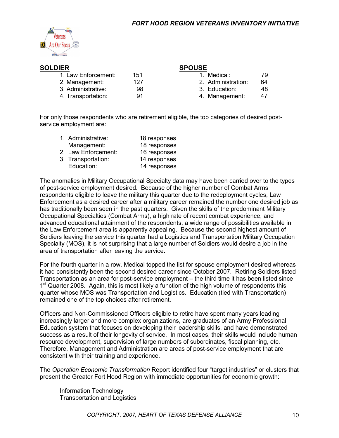

| <b>SOLDIER</b>      |     | <b>SPOUSE</b>      |    |  |
|---------------------|-----|--------------------|----|--|
| 1. Law Enforcement: | 151 | Medical:           | 79 |  |
| 2. Management:      | 127 | 2. Administration: | 64 |  |
| 3. Administrative:  | 98  | 3. Education:      | 48 |  |
| 4. Transportation:  | 91  | 4. Management:     | 47 |  |

For only those respondents who are retirement eligible, the top categories of desired postservice employment are:

| 1. Administrative:  | 18 responses |
|---------------------|--------------|
| Management:         | 18 responses |
| 2. Law Enforcement: | 16 responses |
| 3. Transportation:  | 14 responses |
| Education:          | 14 responses |

The anomalies in Military Occupational Specialty data may have been carried over to the types of post-service employment desired. Because of the higher number of Combat Arms respondents eligible to leave the military this quarter due to the redeployment cycles, Law Enforcement as a desired career after a military career remained the number one desired job as has traditionally been seen in the past quarters. Given the skills of the predominant Military Occupational Specialties (Combat Arms), a high rate of recent combat experience, and advanced educational attainment of the respondents, a wide range of possibilities available in the Law Enforcement area is apparently appealing. Because the second highest amount of Soldiers leaving the service this quarter had a Logistics and Transportation Military Occupation Specialty (MOS), it is not surprising that a large number of Soldiers would desire a job in the area of transportation after leaving the service.

For the fourth quarter in a row, Medical topped the list for spouse employment desired whereas it had consistently been the second desired career since October 2007. Retiring Soldiers listed Transportation as an area for post-service employment – the third time it has been listed since 1<sup>st</sup> Quarter 2008. Again, this is most likely a function of the high volume of respondents this quarter whose MOS was Transportation and Logistics. Education (tied with Transportation) remained one of the top choices after retirement.

Officers and Non-Commissioned Officers eligible to retire have spent many years leading increasingly larger and more complex organizations, are graduates of an Army Professional Education system that focuses on developing their leadership skills, and have demonstrated success as a result of their longevity of service. In most cases, their skills would include human resource development, supervision of large numbers of subordinates, fiscal planning, etc. Therefore, Management and Administration are areas of post-service employment that are consistent with their training and experience.

The *Operation Economic Transformation* Report identified four "target industries" or clusters that present the Greater Fort Hood Region with immediate opportunities for economic growth:

Information Technology Transportation and Logistics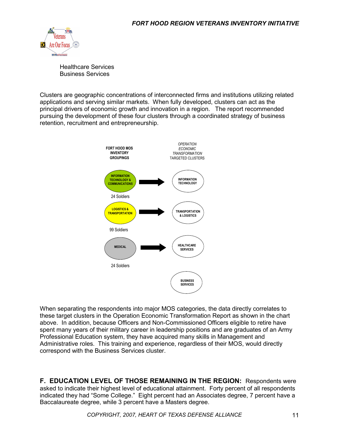

Healthcare Services Business Services

Clusters are geographic concentrations of interconnected firms and institutions utilizing related applications and serving similar markets. When fully developed, clusters can act as the principal drivers of economic growth and innovation in a region. The report recommended pursuing the development of these four clusters through a coordinated strategy of business retention, recruitment and entrepreneurship.



When separating the respondents into major MOS categories, the data directly correlates to these target clusters in the Operation Economic Transformation Report as shown in the chart above. In addition, because Officers and Non-Commissioned Officers eligible to retire have spent many years of their military career in leadership positions and are graduates of an Army Professional Education system, they have acquired many skills in Management and Administrative roles. This training and experience, regardless of their MOS, would directly correspond with the Business Services cluster.

**F. EDUCATION LEVEL OF THOSE REMAINING IN THE REGION:** Respondents were asked to indicate their highest level of educational attainment. Forty percent of all respondents indicated they had "Some College." Eight percent had an Associates degree, 7 percent have a Baccalaureate degree, while 3 percent have a Masters degree.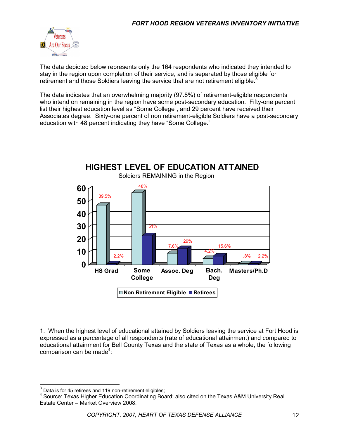

The data depicted below represents only the 164 respondents who indicated they intended to stay in the region upon completion of their service, and is separated by those eligible for retirement and those Soldiers leaving the service that are not retirement eligible.<sup>3</sup>

The data indicates that an overwhelming majority (97.8%) of retirement-eligible respondents who intend on remaining in the region have some post-secondary education. Fifty-one percent list their highest education level as "Some College", and 29 percent have received their Associates degree. Sixty-one percent of non retirement-eligible Soldiers have a post-secondary education with 48 percent indicating they have "Some College."



1. When the highest level of educational attained by Soldiers leaving the service at Fort Hood is expressed as a percentage of all respondents (rate of educational attainment) and compared to educational attainment for Bell County Texas and the state of Texas as a whole, the following comparison can be made<sup>4</sup>:

<sup>3</sup> Data is for 45 retirees and 119 non-retirement eligibles;

<sup>4</sup> Source: Texas Higher Education Coordinating Board; also cited on the Texas A&M University Real Estate Center – Market Overview 2008.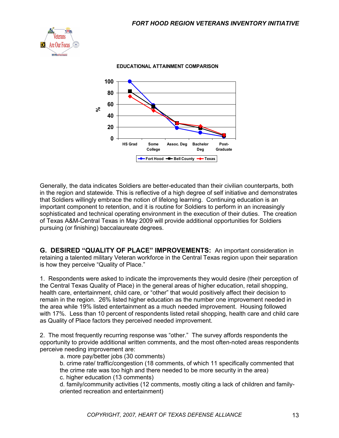



Generally, the data indicates Soldiers are better-educated than their civilian counterparts, both in the region and statewide. This is reflective of a high degree of self initiative and demonstrates that Soldiers willingly embrace the notion of lifelong learning. Continuing education is an important component to retention, and it is routine for Soldiers to perform in an increasingly sophisticated and technical operating environment in the execution of their duties. The creation of Texas A&M-Central Texas in May 2009 will provide additional opportunities for Soldiers pursuing (or finishing) baccalaureate degrees.

**G. DESIRED "QUALITY OF PLACE" IMPROVEMENTS:** An important consideration in retaining a talented military Veteran workforce in the Central Texas region upon their separation is how they perceive "Quality of Place."

1. Respondents were asked to indicate the improvements they would desire (their perception of the Central Texas Quality of Place) in the general areas of higher education, retail shopping, health care, entertainment, child care, or "other" that would positively affect their decision to remain in the region. 26% listed higher education as the number one improvement needed in the area while 19% listed entertainment as a much needed improvement. Housing followed with 17%. Less than 10 percent of respondents listed retail shopping, health care and child care as Quality of Place factors they perceived needed improvement.

2. The most frequently recurring response was "other." The survey affords respondents the opportunity to provide additional written comments, and the most often-noted areas respondents perceive needing improvement are:

a. more pay/better jobs (30 comments)

b. crime rate/ traffic/congestion (18 comments, of which 11 specifically commented that the crime rate was too high and there needed to be more security in the area)

c. higher education (13 comments)

d. family/community activities (12 comments, mostly citing a lack of children and familyoriented recreation and entertainment)